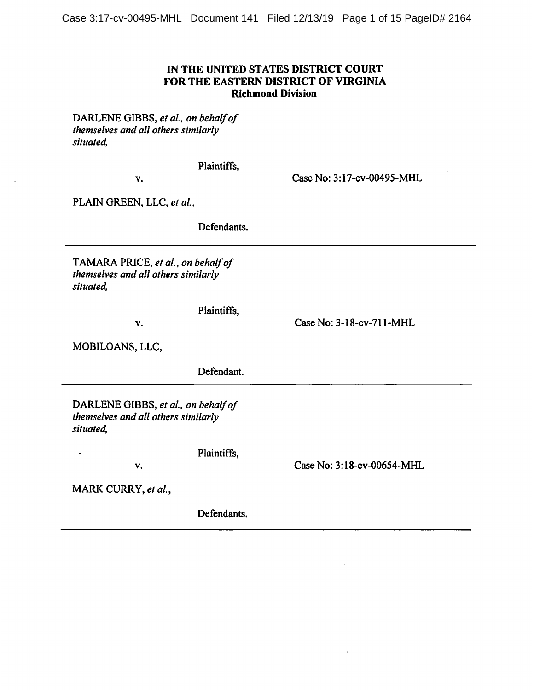# IN THE UNITED STATES DISTRICT COURT FOR THE EASTERN DISTRICT OF VIRGINIA **Richmond Division**

DARLENE GIBBS, et al., on behalf of themselves and all others similarly situated,

Plaintiffs,

V.

Case No: 3:17-cv-00495-MHL

PLAIN GREEN, LLC, et al.,

Defendants.

TAMARA PRICE, et al., on behalf of themselves and all others similarly situated,

V.

Case No: 3-18-cv-711-MHL

MOBILOANS, LLC,

Defendant.

Plaintiffs,

DARLENE GIBBS, et al., on behalf of themselves and all others similarly situated,

V.

Case No: 3:18-cv-00654-MHL

MARK CURRY, et al.,

 $\ddot{\phantom{1}}$ 

Defendants.

Plaintiffs,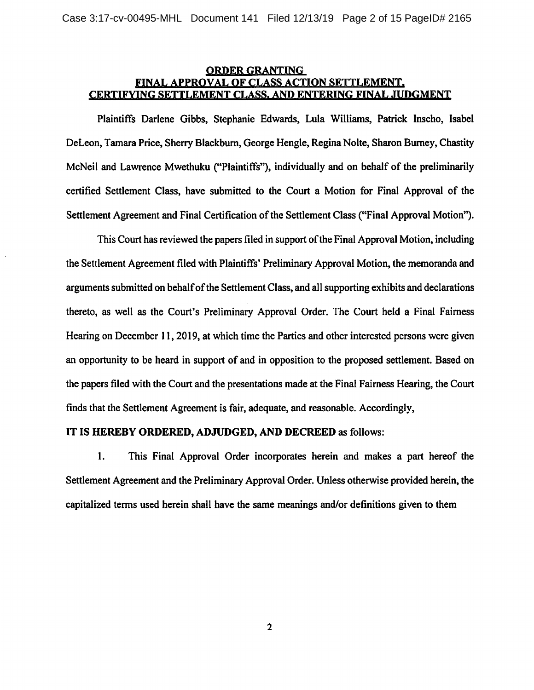## **ORDER GRANTING** FINAL APPROVAL OF CLASS ACTION SETTLEMENT. CERTIFYING SETTLEMENT CLASS, AND ENTERING FINAL JUDGMENT

Plaintiffs Darlene Gibbs, Stephanie Edwards, Lula Williams, Patrick Inscho, Isabel DeLeon, Tamara Price, Sherry Blackburn, George Hengle, Regina Nolte, Sharon Burney, Chastity McNeil and Lawrence Mwethuku ("Plaintiffs"), individually and on behalf of the preliminarily certified Settlement Class, have submitted to the Court a Motion for Final Approval of the Settlement Agreement and Final Certification of the Settlement Class ("Final Approval Motion").

This Court has reviewed the papers filed in support of the Final Approval Motion, including the Settlement Agreement filed with Plaintiffs' Preliminary Approval Motion, the memoranda and arguments submitted on behalf of the Settlement Class, and all supporting exhibits and declarations thereto, as well as the Court's Preliminary Approval Order. The Court held a Final Fairness Hearing on December 11, 2019, at which time the Parties and other interested persons were given an opportunity to be heard in support of and in opposition to the proposed settlement. Based on the papers filed with the Court and the presentations made at the Final Fairness Hearing, the Court finds that the Settlement Agreement is fair, adequate, and reasonable. Accordingly,

## IT IS HEREBY ORDERED, ADJUDGED, AND DECREED as follows:

1. This Final Approval Order incorporates herein and makes a part hereof the Settlement Agreement and the Preliminary Approval Order. Unless otherwise provided herein, the capitalized terms used herein shall have the same meanings and/or definitions given to them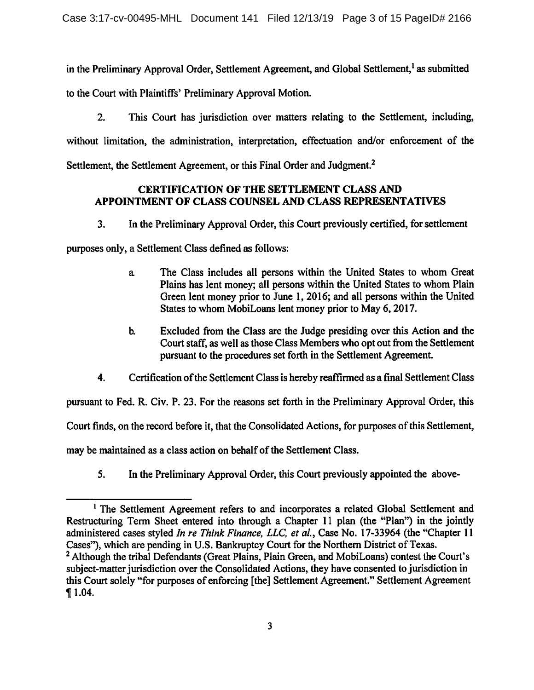in the Preliminary Approval Order, Settlement Agreement, and Global Settlement,<sup>1</sup> as submitted

to the Court with Plaintiffs' Preliminary Approval Motion.

 $2.$ This Court has jurisdiction over matters relating to the Settlement, including, without limitation, the administration, interpretation, effectuation and/or enforcement of the Settlement, the Settlement Agreement, or this Final Order and Judgment.<sup>2</sup>

# **CERTIFICATION OF THE SETTLEMENT CLASS AND** APPOINTMENT OF CLASS COUNSEL AND CLASS REPRESENTATIVES

In the Preliminary Approval Order, this Court previously certified, for settlement  $3.$ 

purposes only, a Settlement Class defined as follows:

- The Class includes all persons within the United States to whom Great a. Plains has lent money; all persons within the United States to whom Plain Green lent money prior to June 1, 2016; and all persons within the United States to whom MobiLoans lent money prior to May 6, 2017.
- $\mathbf{b}$ Excluded from the Class are the Judge presiding over this Action and the Court staff, as well as those Class Members who opt out from the Settlement pursuant to the procedures set forth in the Settlement Agreement.
- $4.$ Certification of the Settlement Class is hereby reaffirmed as a final Settlement Class

pursuant to Fed. R. Civ. P. 23. For the reasons set forth in the Preliminary Approval Order, this

Court finds, on the record before it, that the Consolidated Actions, for purposes of this Settlement,

may be maintained as a class action on behalf of the Settlement Class.

5. In the Preliminary Approval Order, this Court previously appointed the above-

<sup>&</sup>lt;sup>1</sup> The Settlement Agreement refers to and incorporates a related Global Settlement and Restructuring Term Sheet entered into through a Chapter 11 plan (the "Plan") in the jointly administered cases styled In re Think Finance, LLC, et al., Case No. 17-33964 (the "Chapter 11 Cases"), which are pending in U.S. Bankruptcy Court for the Northern District of Texas. <sup>2</sup> Although the tribal Defendants (Great Plains, Plain Green, and MobiLoans) contest the Court's subject-matter jurisdiction over the Consolidated Actions, they have consented to jurisdiction in this Court solely "for purposes of enforcing [the] Settlement Agreement." Settlement Agreement  $\P$  1.04.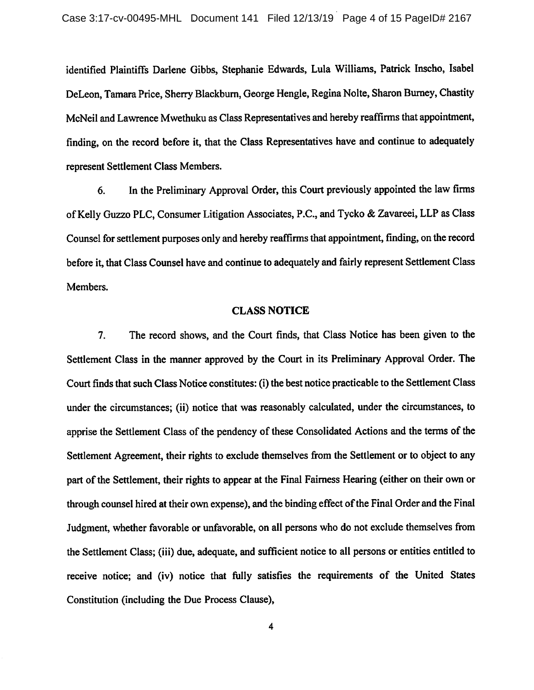identified Plaintiffs Darlene Gibbs, Stephanie Edwards, Lula Williams, Patrick Inscho, Isabel DeLeon, Tamara Price, Sherry Blackburn, George Hengle, Regina Nolte, Sharon Burney, Chastity McNeil and Lawrence Mwethuku as Class Representatives and hereby reaffirms that appointment, finding, on the record before it, that the Class Representatives have and continue to adequately represent Settlement Class Members.

In the Preliminary Approval Order, this Court previously appointed the law firms 6. of Kelly Guzzo PLC, Consumer Litigation Associates, P.C., and Tycko & Zavareei, LLP as Class Counsel for settlement purposes only and hereby reaffirms that appointment, finding, on the record before it, that Class Counsel have and continue to adequately and fairly represent Settlement Class Members.

### **CLASS NOTICE**

The record shows, and the Court finds, that Class Notice has been given to the 7. Settlement Class in the manner approved by the Court in its Preliminary Approval Order. The Court finds that such Class Notice constitutes: (i) the best notice practicable to the Settlement Class under the circumstances; (ii) notice that was reasonably calculated, under the circumstances, to apprise the Settlement Class of the pendency of these Consolidated Actions and the terms of the Settlement Agreement, their rights to exclude themselves from the Settlement or to object to any part of the Settlement, their rights to appear at the Final Fairness Hearing (either on their own or through counsel hired at their own expense), and the binding effect of the Final Order and the Final Judgment, whether favorable or unfavorable, on all persons who do not exclude themselves from the Settlement Class; (iii) due, adequate, and sufficient notice to all persons or entities entitled to receive notice; and (iv) notice that fully satisfies the requirements of the United States Constitution (including the Due Process Clause),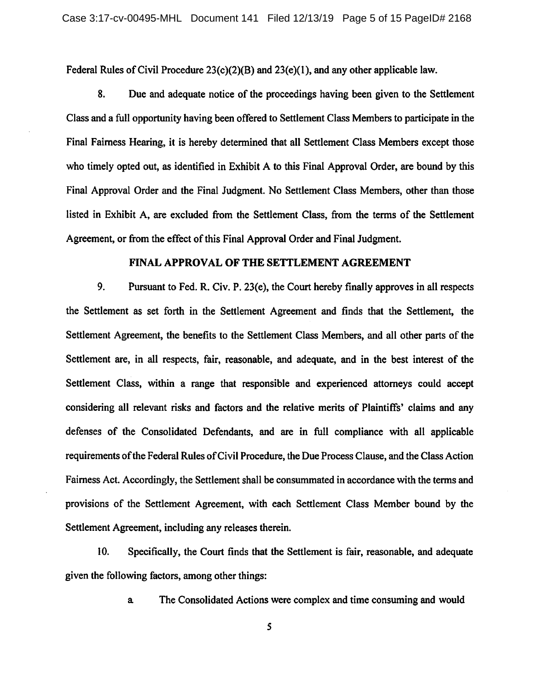Federal Rules of Civil Procedure  $23(c)(2)(B)$  and  $23(e)(1)$ , and any other applicable law.

8. Due and adequate notice of the proceedings having been given to the Settlement Class and a full opportunity having been offered to Settlement Class Members to participate in the Final Fairness Hearing, it is hereby determined that all Settlement Class Members except those who timely opted out, as identified in Exhibit A to this Final Approval Order, are bound by this Final Approval Order and the Final Judgment. No Settlement Class Members, other than those listed in Exhibit A, are excluded from the Settlement Class, from the terms of the Settlement Agreement, or from the effect of this Final Approval Order and Final Judgment.

#### FINAL APPROVAL OF THE SETTLEMENT AGREEMENT

9. Pursuant to Fed. R. Civ. P. 23(e), the Court hereby finally approves in all respects the Settlement as set forth in the Settlement Agreement and finds that the Settlement, the Settlement Agreement, the benefits to the Settlement Class Members, and all other parts of the Settlement are, in all respects, fair, reasonable, and adequate, and in the best interest of the Settlement Class, within a range that responsible and experienced attorneys could accept considering all relevant risks and factors and the relative merits of Plaintiffs' claims and any defenses of the Consolidated Defendants, and are in full compliance with all applicable requirements of the Federal Rules of Civil Procedure, the Due Process Clause, and the Class Action Fairness Act. Accordingly, the Settlement shall be consummated in accordance with the terms and provisions of the Settlement Agreement, with each Settlement Class Member bound by the Settlement Agreement, including any releases therein.

10. Specifically, the Court finds that the Settlement is fair, reasonable, and adequate given the following factors, among other things:

> The Consolidated Actions were complex and time consuming and would  $a$

> > 5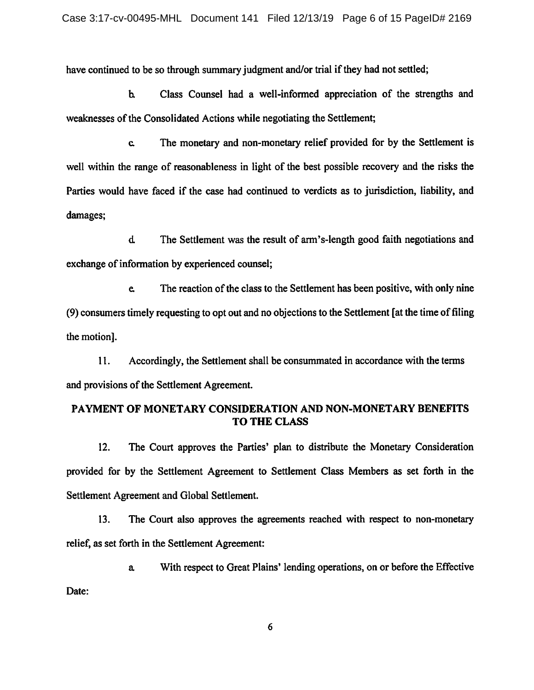have continued to be so through summary judgment and/or trial if they had not settled;

Class Counsel had a well-informed appreciation of the strengths and  $\mathbf{b}$ weaknesses of the Consolidated Actions while negotiating the Settlement;

The monetary and non-monetary relief provided for by the Settlement is  $\mathbf{c}$ well within the range of reasonableness in light of the best possible recovery and the risks the Parties would have faced if the case had continued to verdicts as to jurisdiction, liability, and damages;

 $\mathbf d$ The Settlement was the result of arm's-length good faith negotiations and exchange of information by experienced counsel;

The reaction of the class to the Settlement has been positive, with only nine e. (9) consumers timely requesting to opt out and no objections to the Settlement [at the time of filing the motion].

Accordingly, the Settlement shall be consummated in accordance with the terms 11. and provisions of the Settlement Agreement.

# PAYMENT OF MONETARY CONSIDERATION AND NON-MONETARY BENEFITS **TO THE CLASS**

 $12.$ The Court approves the Parties' plan to distribute the Monetary Consideration provided for by the Settlement Agreement to Settlement Class Members as set forth in the Settlement Agreement and Global Settlement.

 $13.$ The Court also approves the agreements reached with respect to non-monetary relief, as set forth in the Settlement Agreement:

With respect to Great Plains' lending operations, on or before the Effective a.

Date:

6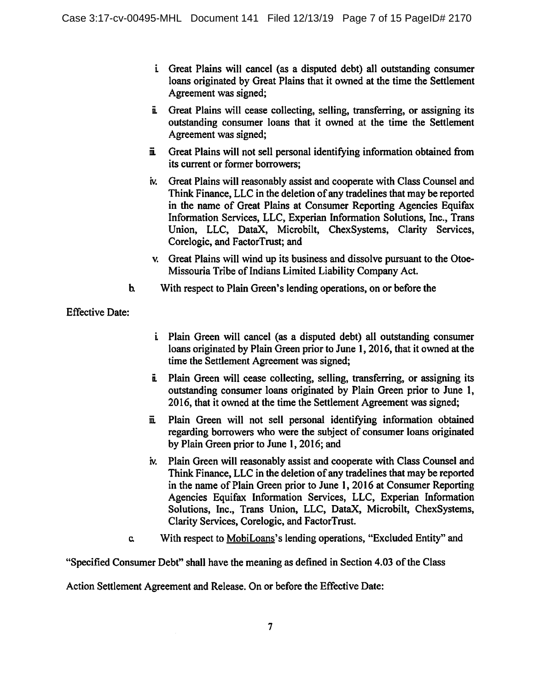- i Great Plains will cancel (as a disputed debt) all outstanding consumer loans originated by Great Plains that it owned at the time the Settlement Agreement was signed;
- i. Great Plains will cease collecting, selling, transferring, or assigning its outstanding consumer loans that it owned at the time the Settlement Agreement was signed;
- Great Plains will not sell personal identifying information obtained from ii. its current or former borrowers:
- Great Plains will reasonably assist and cooperate with Class Counsel and iv. Think Finance, LLC in the deletion of any tradelines that may be reported in the name of Great Plains at Consumer Reporting Agencies Equifax Information Services, LLC, Experian Information Solutions, Inc., Trans Union, LLC, DataX, Microbilt, ChexSystems, Clarity Services, Corelogic, and FactorTrust; and
- v. Great Plains will wind up its business and dissolve pursuant to the Otoe-Missouria Tribe of Indians Limited Liability Company Act.
- $\mathbf{b}$ With respect to Plain Green's lending operations, on or before the

**Effective Date:** 

- *i* Plain Green will cancel (as a disputed debt) all outstanding consumer loans originated by Plain Green prior to June 1, 2016, that it owned at the time the Settlement Agreement was signed;
- i. Plain Green will cease collecting, selling, transferring, or assigning its outstanding consumer loans originated by Plain Green prior to June 1, 2016, that it owned at the time the Settlement Agreement was signed;
- Plain Green will not sell personal identifying information obtained Ë. regarding borrowers who were the subject of consumer loans originated by Plain Green prior to June 1, 2016; and
- iv. Plain Green will reasonably assist and cooperate with Class Counsel and Think Finance, LLC in the deletion of any tradelines that may be reported in the name of Plain Green prior to June 1, 2016 at Consumer Reporting Agencies Equifax Information Services, LLC, Experian Information Solutions, Inc., Trans Union, LLC, DataX, Microbilt, ChexSystems, Clarity Services, Corelogic, and FactorTrust.
- With respect to MobiLoans's lending operations, "Excluded Entity" and  $\mathbf{c}$

"Specified Consumer Debt" shall have the meaning as defined in Section 4.03 of the Class

Action Settlement Agreement and Release. On or before the Effective Date: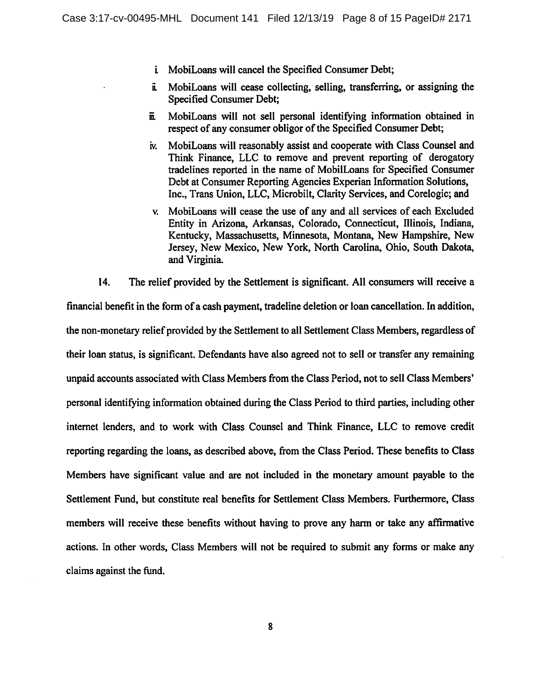- *i* MobiLoans will cancel the Specified Consumer Debt;
- MobiLoans will cease collecting, selling, transferring, or assigning the  $\ddot{\mathbf{a}}$ **Specified Consumer Debt;**
- MobiLoans will not sell personal identifying information obtained in ш. respect of any consumer obligor of the Specified Consumer Debt;
- MobiLoans will reasonably assist and cooperate with Class Counsel and iv. Think Finance, LLC to remove and prevent reporting of derogatory tradelines reported in the name of MobilLoans for Specified Consumer Debt at Consumer Reporting Agencies Experian Information Solutions, Inc., Trans Union, LLC, Microbilt, Clarity Services, and Corelogic; and
- v. MobiLoans will cease the use of any and all services of each Excluded Entity in Arizona, Arkansas, Colorado, Connecticut, Illinois, Indiana, Kentucky, Massachusetts, Minnesota, Montana, New Hampshire, New Jersey, New Mexico, New York, North Carolina, Ohio, South Dakota, and Virginia.

14. The relief provided by the Settlement is significant. All consumers will receive a

financial benefit in the form of a cash payment, tradeline deletion or loan cancellation. In addition, the non-monetary relief provided by the Settlement to all Settlement Class Members, regardless of their loan status, is significant. Defendants have also agreed not to sell or transfer any remaining unpaid accounts associated with Class Members from the Class Period, not to sell Class Members' personal identifying information obtained during the Class Period to third parties, including other internet lenders, and to work with Class Counsel and Think Finance, LLC to remove credit reporting regarding the loans, as described above, from the Class Period. These benefits to Class Members have significant value and are not included in the monetary amount payable to the Settlement Fund, but constitute real benefits for Settlement Class Members. Furthermore, Class members will receive these benefits without having to prove any harm or take any affirmative actions. In other words, Class Members will not be required to submit any forms or make any claims against the fund.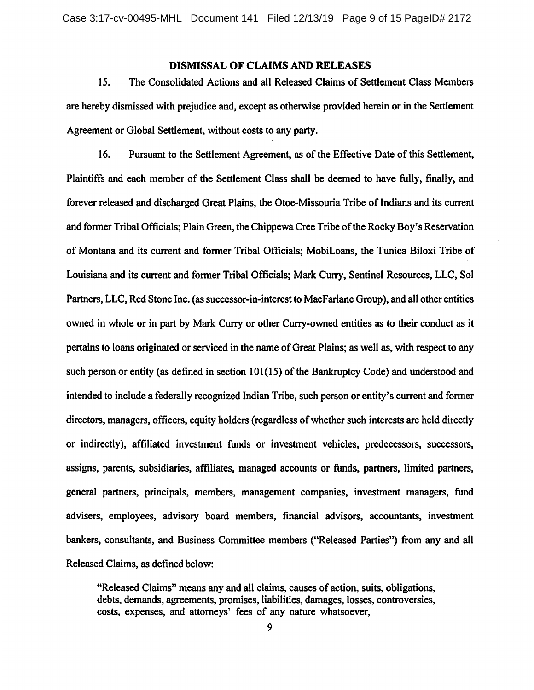### **DISMISSAL OF CLAIMS AND RELEASES**

15. The Consolidated Actions and all Released Claims of Settlement Class Members are hereby dismissed with prejudice and, except as otherwise provided herein or in the Settlement Agreement or Global Settlement, without costs to any party.

16. Pursuant to the Settlement Agreement, as of the Effective Date of this Settlement, Plaintiffs and each member of the Settlement Class shall be deemed to have fully, finally, and forever released and discharged Great Plains, the Otoe-Missouria Tribe of Indians and its current and former Tribal Officials; Plain Green, the Chippewa Cree Tribe of the Rocky Boy's Reservation of Montana and its current and former Tribal Officials; MobiLoans, the Tunica Biloxi Tribe of Louisiana and its current and former Tribal Officials; Mark Curry, Sentinel Resources, LLC, Sol Partners, LLC, Red Stone Inc. (as successor-in-interest to MacFarlane Group), and all other entities owned in whole or in part by Mark Curry or other Curry-owned entities as to their conduct as it pertains to loans originated or serviced in the name of Great Plains; as well as, with respect to any such person or entity (as defined in section 101(15) of the Bankruptcy Code) and understood and intended to include a federally recognized Indian Tribe, such person or entity's current and former directors, managers, officers, equity holders (regardless of whether such interests are held directly or indirectly), affiliated investment funds or investment vehicles, predecessors, successors, assigns, parents, subsidiaries, affiliates, managed accounts or funds, partners, limited partners, general partners, principals, members, management companies, investment managers, fund advisers, employees, advisory board members, financial advisors, accountants, investment bankers, consultants, and Business Committee members ("Released Parties") from any and all Released Claims, as defined below:

"Released Claims" means any and all claims, causes of action, suits, obligations, debts, demands, agreements, promises, liabilities, damages, losses, controversies, costs, expenses, and attorneys' fees of any nature whatsoever,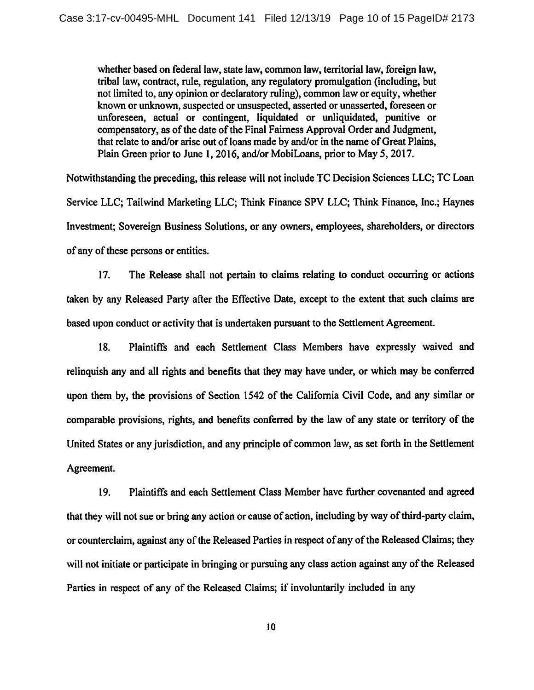whether based on federal law, state law, common law, territorial law, foreign law, tribal law, contract, rule, regulation, any regulatory promulgation (including, but not limited to, any opinion or declaratory ruling), common law or equity, whether known or unknown, suspected or unsuspected, asserted or unasserted, foreseen or unforeseen, actual or contingent, liquidated or unliquidated, punitive or compensatory, as of the date of the Final Fairness Approval Order and Judgment, that relate to and/or arise out of loans made by and/or in the name of Great Plains, Plain Green prior to June 1, 2016, and/or MobiLoans, prior to May 5, 2017.

Notwithstanding the preceding, this release will not include TC Decision Sciences LLC; TC Loan Service LLC; Tailwind Marketing LLC; Think Finance SPV LLC; Think Finance, Inc.; Haynes Investment; Sovereign Business Solutions, or any owners, employees, shareholders, or directors of any of these persons or entities.

 $17.$ The Release shall not pertain to claims relating to conduct occurring or actions taken by any Released Party after the Effective Date, except to the extent that such claims are based upon conduct or activity that is undertaken pursuant to the Settlement Agreement.

18. Plaintiffs and each Settlement Class Members have expressly waived and relinquish any and all rights and benefits that they may have under, or which may be conferred upon them by, the provisions of Section 1542 of the California Civil Code, and any similar or comparable provisions, rights, and benefits conferred by the law of any state or territory of the United States or any jurisdiction, and any principle of common law, as set forth in the Settlement Agreement.

19. Plaintiffs and each Settlement Class Member have further covenanted and agreed that they will not sue or bring any action or cause of action, including by way of third-party claim, or counterclaim, against any of the Released Parties in respect of any of the Released Claims; they will not initiate or participate in bringing or pursuing any class action against any of the Released Parties in respect of any of the Released Claims; if involuntarily included in any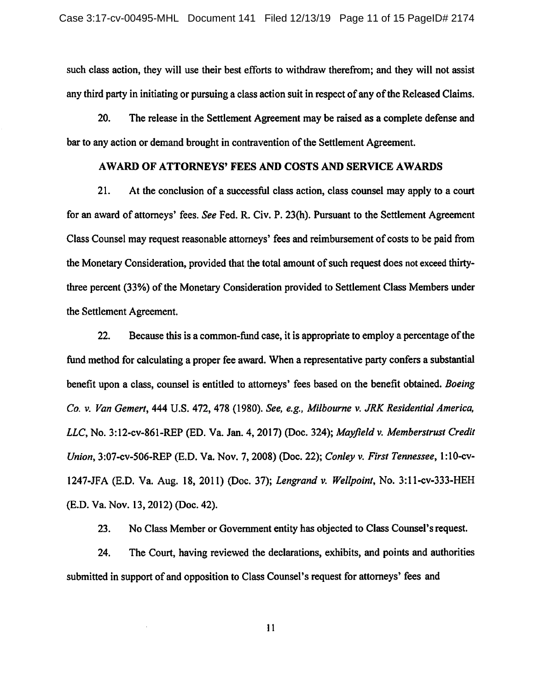such class action, they will use their best efforts to withdraw therefrom; and they will not assist any third party in initiating or pursuing a class action suit in respect of any of the Released Claims.

 $20.$ The release in the Settlement Agreement may be raised as a complete defense and bar to any action or demand brought in contravention of the Settlement Agreement.

### AWARD OF ATTORNEYS' FEES AND COSTS AND SERVICE AWARDS

 $21.$ At the conclusion of a successful class action, class counsel may apply to a court for an award of attorneys' fees. See Fed. R. Civ. P. 23(h). Pursuant to the Settlement Agreement Class Counsel may request reasonable attorneys' fees and reimbursement of costs to be paid from the Monetary Consideration, provided that the total amount of such request does not exceed thirtythree percent (33%) of the Monetary Consideration provided to Settlement Class Members under the Settlement Agreement.

 $22.$ Because this is a common-fund case, it is appropriate to employ a percentage of the fund method for calculating a proper fee award. When a representative party confers a substantial benefit upon a class, counsel is entitled to attorneys' fees based on the benefit obtained. Boeing Co. v. Van Gemert, 444 U.S. 472, 478 (1980). See, e.g., Milbourne v. JRK Residential America, LLC, No. 3:12-cv-861-REP (ED. Va. Jan. 4, 2017) (Doc. 324); Mayfield v. Memberstrust Credit Union, 3:07-cv-506-REP (E.D. Va. Nov. 7, 2008) (Doc. 22); Conley v. First Tennessee, 1:10-cv-1247-JFA (E.D. Va. Aug. 18, 2011) (Doc. 37); Lengrand v. Wellpoint, No. 3:11-cv-333-HEH (E.D. Va. Nov. 13, 2012) (Doc. 42).

No Class Member or Government entity has objected to Class Counsel's request.  $23.$ 

24. The Court, having reviewed the declarations, exhibits, and points and authorities submitted in support of and opposition to Class Counsel's request for attorneys' fees and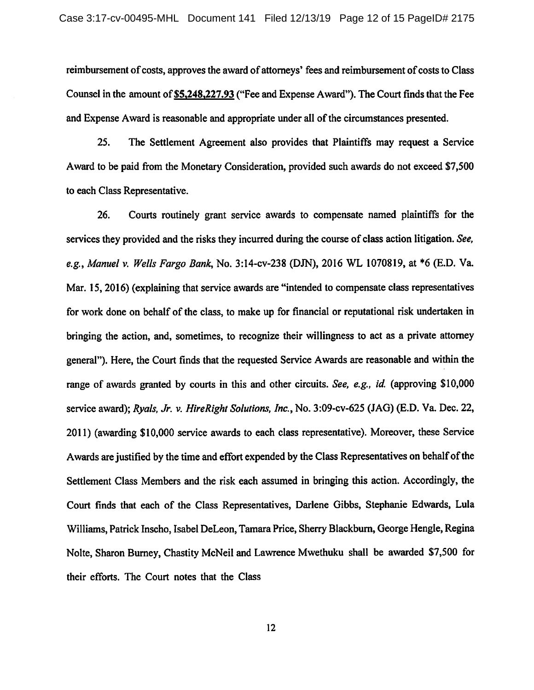reimbursement of costs, approves the award of attorneys' fees and reimbursement of costs to Class Counsel in the amount of \$5,248,227.93 ("Fee and Expense Award"). The Court finds that the Fee and Expense Award is reasonable and appropriate under all of the circumstances presented.

 $25.$ The Settlement Agreement also provides that Plaintiffs may request a Service Award to be paid from the Monetary Consideration, provided such awards do not exceed \$7,500 to each Class Representative.

26. Courts routinely grant service awards to compensate named plaintiffs for the services they provided and the risks they incurred during the course of class action litigation. See, e.g., Manuel v. Wells Fargo Bank, No. 3:14-cv-238 (DJN), 2016 WL 1070819, at \*6 (E.D. Va. Mar. 15, 2016) (explaining that service awards are "intended to compensate class representatives for work done on behalf of the class, to make up for financial or reputational risk undertaken in bringing the action, and, sometimes, to recognize their willingness to act as a private attorney general"). Here, the Court finds that the requested Service Awards are reasonable and within the range of awards granted by courts in this and other circuits. See, e.g., id. (approving \$10,000 service award); Ryals, Jr. v. HireRight Solutions, Inc., No. 3:09-cv-625 (JAG) (E.D. Va. Dec. 22, 2011) (awarding \$10,000 service awards to each class representative). Moreover, these Service Awards are justified by the time and effort expended by the Class Representatives on behalf of the Settlement Class Members and the risk each assumed in bringing this action. Accordingly, the Court finds that each of the Class Representatives, Darlene Gibbs, Stephanie Edwards, Lula Williams, Patrick Inscho, Isabel DeLeon, Tamara Price, Sherry Blackburn, George Hengle, Regina Nolte, Sharon Burney, Chastity McNeil and Lawrence Mwethuku shall be awarded \$7,500 for their efforts. The Court notes that the Class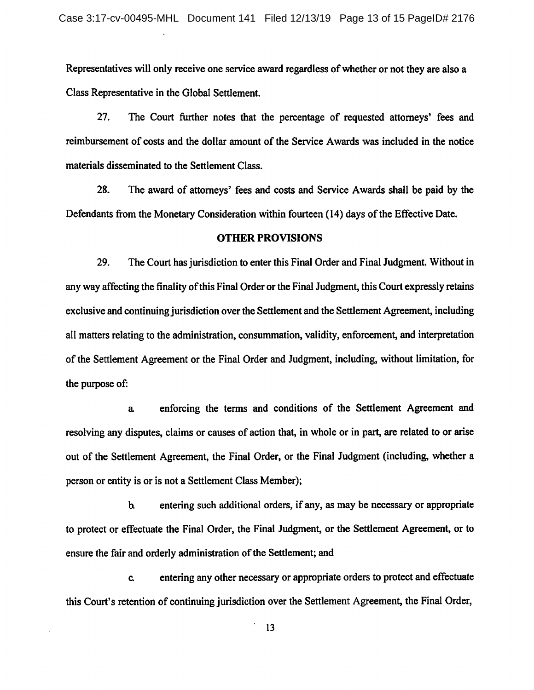Representatives will only receive one service award regardless of whether or not they are also a Class Representative in the Global Settlement.

27. The Court further notes that the percentage of requested attorneys' fees and reimbursement of costs and the dollar amount of the Service Awards was included in the notice materials disseminated to the Settlement Class.

28. The award of attorneys' fees and costs and Service Awards shall be paid by the Defendants from the Monetary Consideration within fourteen (14) days of the Effective Date.

#### **OTHER PROVISIONS**

29. The Court has jurisdiction to enter this Final Order and Final Judgment. Without in any way affecting the finality of this Final Order or the Final Judgment, this Court expressly retains exclusive and continuing jurisdiction over the Settlement and the Settlement Agreement, including all matters relating to the administration, consummation, validity, enforcement, and interpretation of the Settlement Agreement or the Final Order and Judgment, including, without limitation, for the purpose of:

enforcing the terms and conditions of the Settlement Agreement and  $\mathbf{a}$ resolving any disputes, claims or causes of action that, in whole or in part, are related to or arise out of the Settlement Agreement, the Final Order, or the Final Judgment (including, whether a person or entity is or is not a Settlement Class Member);

entering such additional orders, if any, as may be necessary or appropriate  $\mathbf{b}$ to protect or effectuate the Final Order, the Final Judgment, or the Settlement Agreement, or to ensure the fair and orderly administration of the Settlement; and

entering any other necessary or appropriate orders to protect and effectuate  $\mathbf{c}$ this Court's retention of continuing jurisdiction over the Settlement Agreement, the Final Order,

13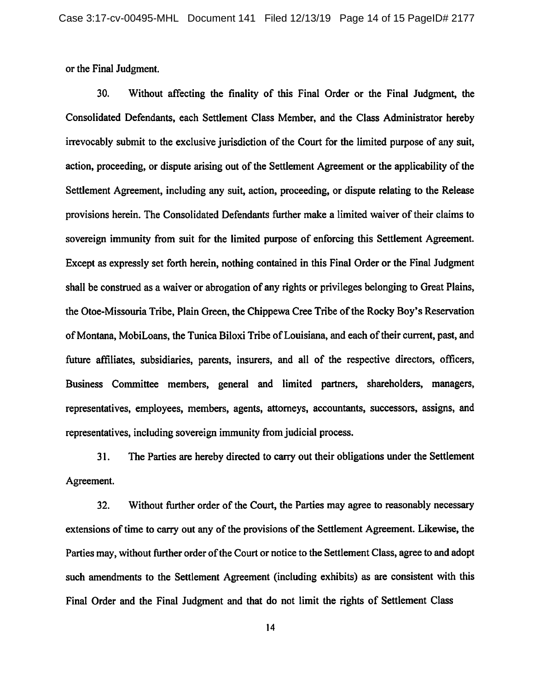or the Final Judgment.

30. Without affecting the finality of this Final Order or the Final Judgment, the Consolidated Defendants, each Settlement Class Member, and the Class Administrator hereby irrevocably submit to the exclusive jurisdiction of the Court for the limited purpose of any suit, action, proceeding, or dispute arising out of the Settlement Agreement or the applicability of the Settlement Agreement, including any suit, action, proceeding, or dispute relating to the Release provisions herein. The Consolidated Defendants further make a limited waiver of their claims to sovereign immunity from suit for the limited purpose of enforcing this Settlement Agreement. Except as expressly set forth herein, nothing contained in this Final Order or the Final Judgment shall be construed as a waiver or abrogation of any rights or privileges belonging to Great Plains, the Otoe-Missouria Tribe, Plain Green, the Chippewa Cree Tribe of the Rocky Boy's Reservation of Montana, MobiLoans, the Tunica Biloxi Tribe of Louisiana, and each of their current, past, and future affiliates, subsidiaries, parents, insurers, and all of the respective directors, officers, Business Committee members, general and limited partners, shareholders, managers, representatives, employees, members, agents, attorneys, accountants, successors, assigns, and representatives, including sovereign immunity from judicial process.

The Parties are hereby directed to carry out their obligations under the Settlement 31. Agreement.

Without further order of the Court, the Parties may agree to reasonably necessary  $32.$ extensions of time to carry out any of the provisions of the Settlement Agreement. Likewise, the Parties may, without further order of the Court or notice to the Settlement Class, agree to and adopt such amendments to the Settlement Agreement (including exhibits) as are consistent with this Final Order and the Final Judgment and that do not limit the rights of Settlement Class